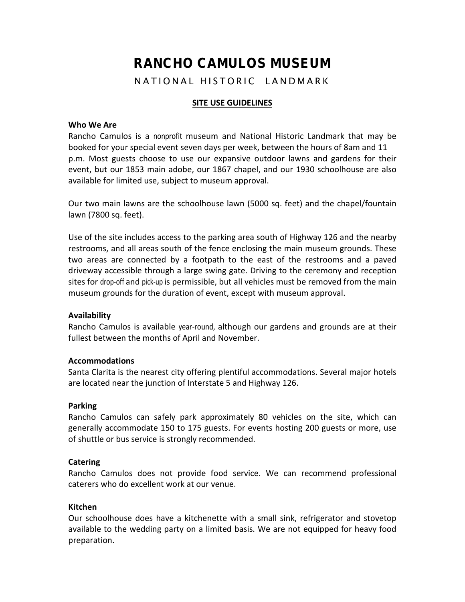# **RANCHO CAMULOS MUSEUM**

NATIONAL HISTORIC LANDMARK

# **SITE USE GUIDELINES**

# **Who We Are**

Rancho Camulos is a nonprofit museum and National Historic Landmark that may be booked for your special event seven days per week, between the hours of 8am and 11 p.m. Most guests choose to use our expansive outdoor lawns and gardens for their event, but our 1853 main adobe, our 1867 chapel, and our 1930 schoolhouse are also available for limited use, subject to museum approval.

Our two main lawns are the schoolhouse lawn (5000 sq. feet) and the chapel/fountain lawn (7800 sq. feet).

Use of the site includes access to the parking area south of Highway 126 and the nearby restrooms, and all areas south of the fence enclosing the main museum grounds. These two areas are connected by a footpath to the east of the restrooms and a paved driveway accessible through a large swing gate. Driving to the ceremony and reception sites for drop-off and pick-up is permissible, but all vehicles must be removed from the main museum grounds for the duration of event, except with museum approval.

# **Availability**

Rancho Camulos is available year-round, although our gardens and grounds are at their fullest between the months of April and November.

# **Accommodations**

Santa Clarita is the nearest city offering plentiful accommodations. Several major hotels are located near the junction of Interstate 5 and Highway 126.

#### **Parking**

Rancho Camulos can safely park approximately 80 vehicles on the site, which can generally accommodate 150 to 175 guests. For events hosting 200 guests or more, use of shuttle or bus service is strongly recommended.

# **Catering**

Rancho Camulos does not provide food service. We can recommend professional caterers who do excellent work at our venue.

#### **Kitchen**

Our schoolhouse does have a kitchenette with a small sink, refrigerator and stovetop available to the wedding party on a limited basis. We are not equipped for heavy food preparation.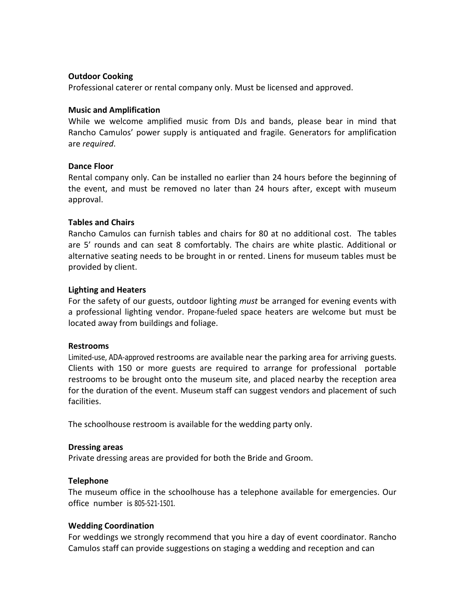# **Outdoor Cooking**

Professional caterer or rental company only. Must be licensed and approved.

# **Music and Amplification**

While we welcome amplified music from DJs and bands, please bear in mind that Rancho Camulos' power supply is antiquated and fragile. Generators for amplification are *required*.

# **Dance Floor**

Rental company only. Can be installed no earlier than 24 hours before the beginning of the event, and must be removed no later than 24 hours after, except with museum approval.

# **Tables and Chairs**

Rancho Camulos can furnish tables and chairs for 80 at no additional cost. The tables are 5' rounds and can seat 8 comfortably. The chairs are white plastic. Additional or alternative seating needs to be brought in or rented. Linens for museum tables must be provided by client.

# **Lighting and Heaters**

For the safety of our guests, outdoor lighting *must* be arranged for evening events with a professional lighting vendor. Propane-fueled space heaters are welcome but must be located away from buildings and foliage.

#### **Restrooms**

Limited-use, ADA-approved restrooms are available near the parking area for arriving guests. Clients with 150 or more guests are required to arrange for professional portable restrooms to be brought onto the museum site, and placed nearby the reception area for the duration of the event. Museum staff can suggest vendors and placement of such facilities.

The schoolhouse restroom is available for the wedding party only.

#### **Dressing areas**

Private dressing areas are provided for both the Bride and Groom.

# **Telephone**

The museum office in the schoolhouse has a telephone available for emergencies. Our office number is 805-521-1501.

# **Wedding Coordination**

For weddings we strongly recommend that you hire a day of event coordinator. Rancho Camulos staff can provide suggestions on staging a wedding and reception and can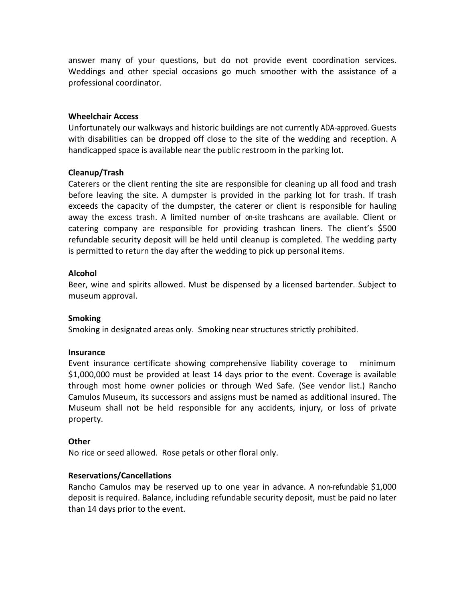answer many of your questions, but do not provide event coordination services. Weddings and other special occasions go much smoother with the assistance of a professional coordinator.

# **Wheelchair Access**

Unfortunately our walkways and historic buildings are not currently ADA-approved. Guests with disabilities can be dropped off close to the site of the wedding and reception. A handicapped space is available near the public restroom in the parking lot.

# **Cleanup/Trash**

Caterers or the client renting the site are responsible for cleaning up all food and trash before leaving the site. A dumpster is provided in the parking lot for trash. If trash exceeds the capacity of the dumpster, the caterer or client is responsible for hauling away the excess trash. A limited number of on-site trashcans are available. Client or catering company are responsible for providing trashcan liners. The client's \$500 refundable security deposit will be held until cleanup is completed. The wedding party is permitted to return the day after the wedding to pick up personal items.

# **Alcohol**

Beer, wine and spirits allowed. Must be dispensed by a licensed bartender. Subject to museum approval.

#### **Smoking**

Smoking in designated areas only. Smoking near structures strictly prohibited.

#### **Insurance**

Event insurance certificate showing comprehensive liability coverage to minimum \$1,000,000 must be provided at least 14 days prior to the event. Coverage is available through most home owner policies or through Wed Safe. (See vendor list.) Rancho Camulos Museum, its successors and assigns must be named as additional insured. The Museum shall not be held responsible for any accidents, injury, or loss of private property.

#### **Other**

No rice or seed allowed. Rose petals or other floral only.

# **Reservations/Cancellations**

Rancho Camulos may be reserved up to one year in advance. A non-refundable \$1,000 deposit is required. Balance, including refundable security deposit, must be paid no later than 14 days prior to the event.